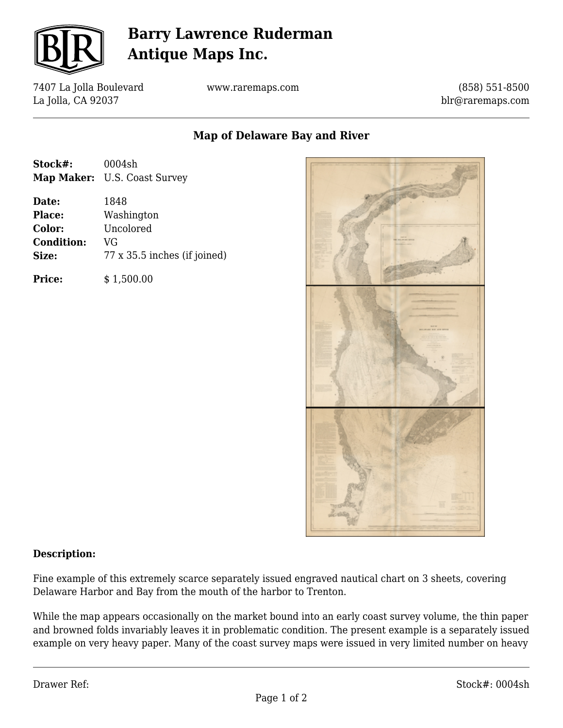

# **Barry Lawrence Ruderman Antique Maps Inc.**

7407 La Jolla Boulevard La Jolla, CA 92037

www.raremaps.com

(858) 551-8500 blr@raremaps.com

### **Map of Delaware Bay and River**

| Stock#: | 0004sh                       |
|---------|------------------------------|
|         | Map Maker: U.S. Coast Survey |

**Date:** 1848 **Place:** Washington **Color:** Uncolored **Condition:** VG **Size:** 77 x 35.5 inches (if joined)

**Price:**  $$ 1,500.00$ 



#### **Description:**

Fine example of this extremely scarce separately issued engraved nautical chart on 3 sheets, covering Delaware Harbor and Bay from the mouth of the harbor to Trenton.

While the map appears occasionally on the market bound into an early coast survey volume, the thin paper and browned folds invariably leaves it in problematic condition. The present example is a separately issued example on very heavy paper. Many of the coast survey maps were issued in very limited number on heavy